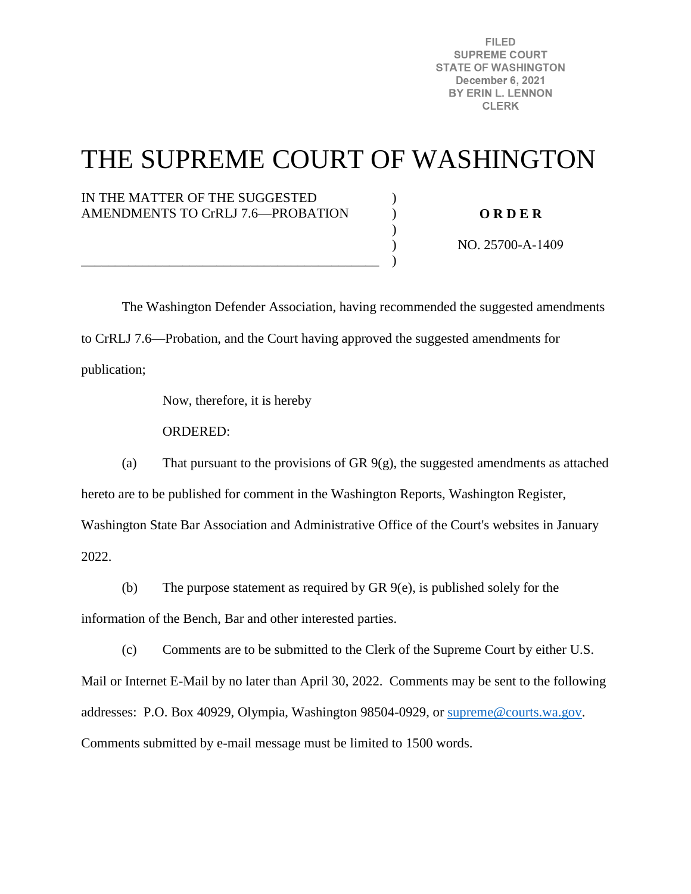**FILED SUPREME COURT STATE OF WASHINGTON** December 6, 2021 BY ERIN L. LENNON **CLERK** 

## THE SUPREME COURT OF WASHINGTON

) ) )  $\lambda$ )

## IN THE MATTER OF THE SUGGESTED AMENDMENTS TO CrRLJ 7.6—PROBATION

\_\_\_\_\_\_\_\_\_\_\_\_\_\_\_\_\_\_\_\_\_\_\_\_\_\_\_\_\_\_\_\_\_\_\_\_\_\_\_\_\_\_\_\_

**O R D E R** 

NO. 25700-A-1409

 The Washington Defender Association, having recommended the suggested amendments to CrRLJ 7.6—Probation, and the Court having approved the suggested amendments for publication;

Now, therefore, it is hereby

ORDERED:

(a) That pursuant to the provisions of GR 9(g), the suggested amendments as attached hereto are to be published for comment in the Washington Reports, Washington Register, Washington State Bar Association and Administrative Office of the Court's websites in January 2022.

(b) The purpose statement as required by GR 9(e), is published solely for the

information of the Bench, Bar and other interested parties.

(c) Comments are to be submitted to the Clerk of the Supreme Court by either U.S. Mail or Internet E-Mail by no later than April 30, 2022. Comments may be sent to the following addresses: P.O. Box 40929, Olympia, Washington 98504-0929, or [supreme@courts.wa.gov.](mailto:supreme@courts.wa.gov) Comments submitted by e-mail message must be limited to 1500 words.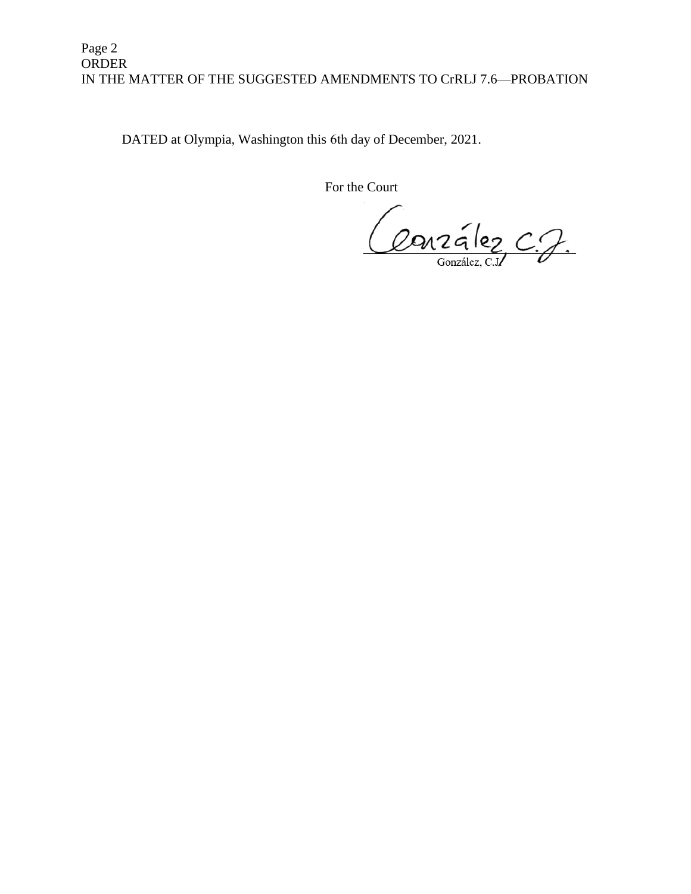## Page 2 ORDER IN THE MATTER OF THE SUGGESTED AMENDMENTS TO CrRLJ 7.6—PROBATION

DATED at Olympia, Washington this 6th day of December, 2021.

For the Court

Conzález C.J.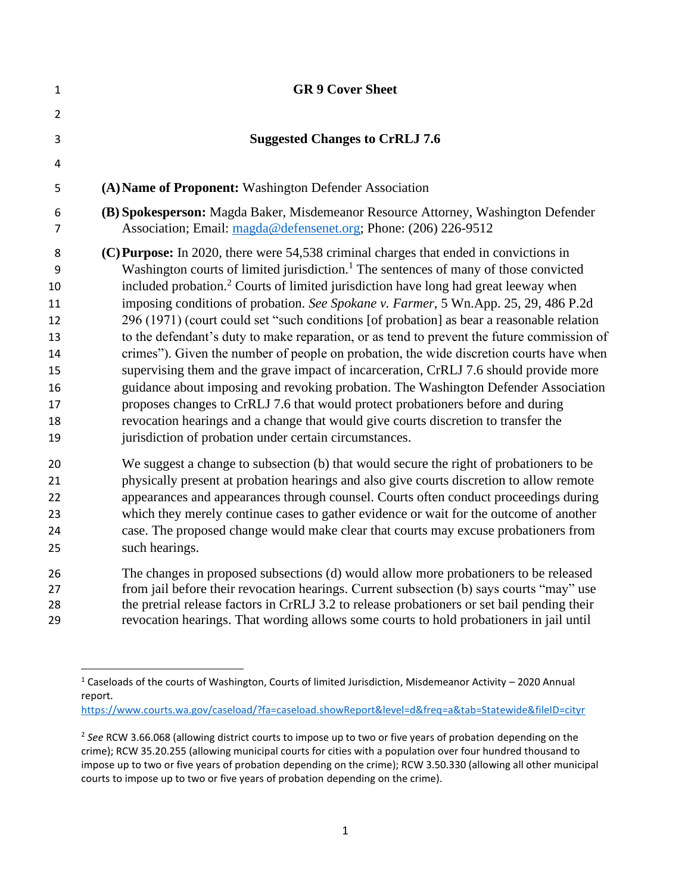| $\mathbf{1}$        | <b>GR 9 Cover Sheet</b>                                                                                                                                                                                                                                                                      |
|---------------------|----------------------------------------------------------------------------------------------------------------------------------------------------------------------------------------------------------------------------------------------------------------------------------------------|
| $\overline{2}$      |                                                                                                                                                                                                                                                                                              |
| 3                   | <b>Suggested Changes to CrRLJ 7.6</b>                                                                                                                                                                                                                                                        |
| 4                   |                                                                                                                                                                                                                                                                                              |
| 5                   | (A) Name of Proponent: Washington Defender Association                                                                                                                                                                                                                                       |
| 6<br>$\overline{7}$ | (B) Spokesperson: Magda Baker, Misdemeanor Resource Attorney, Washington Defender<br>Association; Email: magda@defensenet.org; Phone: (206) 226-9512                                                                                                                                         |
| 8<br>9<br>10        | (C) Purpose: In 2020, there were 54,538 criminal charges that ended in convictions in<br>Washington courts of limited jurisdiction. <sup>1</sup> The sentences of many of those convicted<br>included probation. <sup>2</sup> Courts of limited jurisdiction have long had great leeway when |
| 11                  | imposing conditions of probation. See Spokane v. Farmer, 5 Wn.App. 25, 29, 486 P.2d                                                                                                                                                                                                          |
| 12                  | 296 (1971) (court could set "such conditions [of probation] as bear a reasonable relation                                                                                                                                                                                                    |
| 13                  | to the defendant's duty to make reparation, or as tend to prevent the future commission of                                                                                                                                                                                                   |
| 14                  | crimes"). Given the number of people on probation, the wide discretion courts have when                                                                                                                                                                                                      |
| 15                  | supervising them and the grave impact of incarceration, CrRLJ 7.6 should provide more                                                                                                                                                                                                        |
| 16                  | guidance about imposing and revoking probation. The Washington Defender Association                                                                                                                                                                                                          |
| 17                  | proposes changes to CrRLJ 7.6 that would protect probationers before and during                                                                                                                                                                                                              |
| 18                  | revocation hearings and a change that would give courts discretion to transfer the                                                                                                                                                                                                           |
| 19                  | jurisdiction of probation under certain circumstances.                                                                                                                                                                                                                                       |
| 20                  | We suggest a change to subsection (b) that would secure the right of probationers to be                                                                                                                                                                                                      |
| 21                  | physically present at probation hearings and also give courts discretion to allow remote                                                                                                                                                                                                     |
| 22                  | appearances and appearances through counsel. Courts often conduct proceedings during                                                                                                                                                                                                         |
| 23                  | which they merely continue cases to gather evidence or wait for the outcome of another                                                                                                                                                                                                       |
| 24                  | case. The proposed change would make clear that courts may excuse probationers from                                                                                                                                                                                                          |
| 25                  | such hearings.                                                                                                                                                                                                                                                                               |
| 26                  | The changes in proposed subsections (d) would allow more probationers to be released                                                                                                                                                                                                         |
| 27                  | from jail before their revocation hearings. Current subsection (b) says courts "may" use                                                                                                                                                                                                     |
| 28                  | the pretrial release factors in CrRLJ 3.2 to release probationers or set bail pending their                                                                                                                                                                                                  |
| 29                  | revocation hearings. That wording allows some courts to hold probationers in jail until                                                                                                                                                                                                      |

<https://www.courts.wa.gov/caseload/?fa=caseload.showReport&level=d&freq=a&tab=Statewide&fileID=cityr>

 Caseloads of the courts of Washington, Courts of limited Jurisdiction, Misdemeanor Activity – 2020 Annual report.

 *See* RCW 3.66.068 (allowing district courts to impose up to two or five years of probation depending on the crime); RCW 35.20.255 (allowing municipal courts for cities with a population over four hundred thousand to impose up to two or five years of probation depending on the crime); RCW 3.50.330 (allowing all other municipal courts to impose up to two or five years of probation depending on the crime).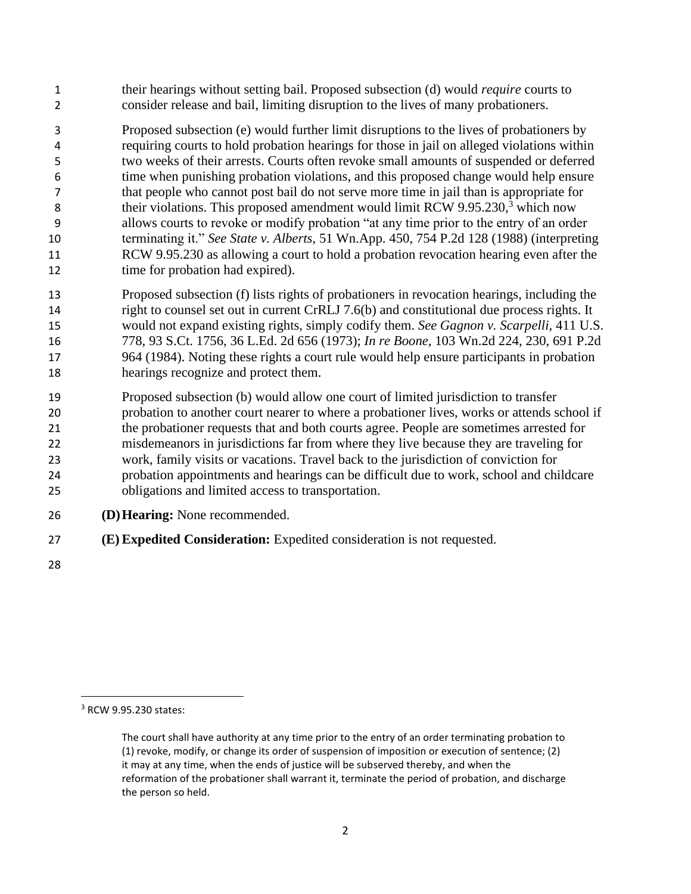their hearings without setting bail. Proposed subsection (d) would *require* courts to consider release and bail, limiting disruption to the lives of many probationers.

 Proposed subsection (e) would further limit disruptions to the lives of probationers by requiring courts to hold probation hearings for those in jail on alleged violations within two weeks of their arrests. Courts often revoke small amounts of suspended or deferred time when punishing probation violations, and this proposed change would help ensure that people who cannot post bail do not serve more time in jail than is appropriate for 8 their violations. This proposed amendment would limit RCW 9.95.230,<sup>3</sup> which now allows courts to revoke or modify probation "at any time prior to the entry of an order terminating it." *See State v. Alberts*, 51 Wn.App. 450, 754 P.2d 128 (1988) (interpreting RCW 9.95.230 as allowing a court to hold a probation revocation hearing even after the 12 time for probation had expired).

- Proposed subsection (f) lists rights of probationers in revocation hearings, including the right to counsel set out in current CrRLJ 7.6(b) and constitutional due process rights. It would not expand existing rights, simply codify them. *See Gagnon v. Scarpelli,* 411 U.S. 778, 93 S.Ct. 1756, 36 L.Ed. 2d 656 (1973); *In re Boone*, 103 Wn.2d 224, 230, 691 P.2d 964 (1984). Noting these rights a court rule would help ensure participants in probation hearings recognize and protect them.
- Proposed subsection (b) would allow one court of limited jurisdiction to transfer probation to another court nearer to where a probationer lives, works or attends school if the probationer requests that and both courts agree. People are sometimes arrested for misdemeanors in jurisdictions far from where they live because they are traveling for work, family visits or vacations. Travel back to the jurisdiction of conviction for probation appointments and hearings can be difficult due to work, school and childcare obligations and limited access to transportation.
- **(D)Hearing:** None recommended.
- **(E)Expedited Consideration:** Expedited consideration is not requested.
- 

RCW 9.95.230 states:

The court shall have authority at any time prior to the entry of an order terminating probation to (1) revoke, modify, or change its order of suspension of imposition or execution of sentence; (2) it may at any time, when the ends of justice will be subserved thereby, and when the reformation of the probationer shall warrant it, terminate the period of probation, and discharge the person so held.